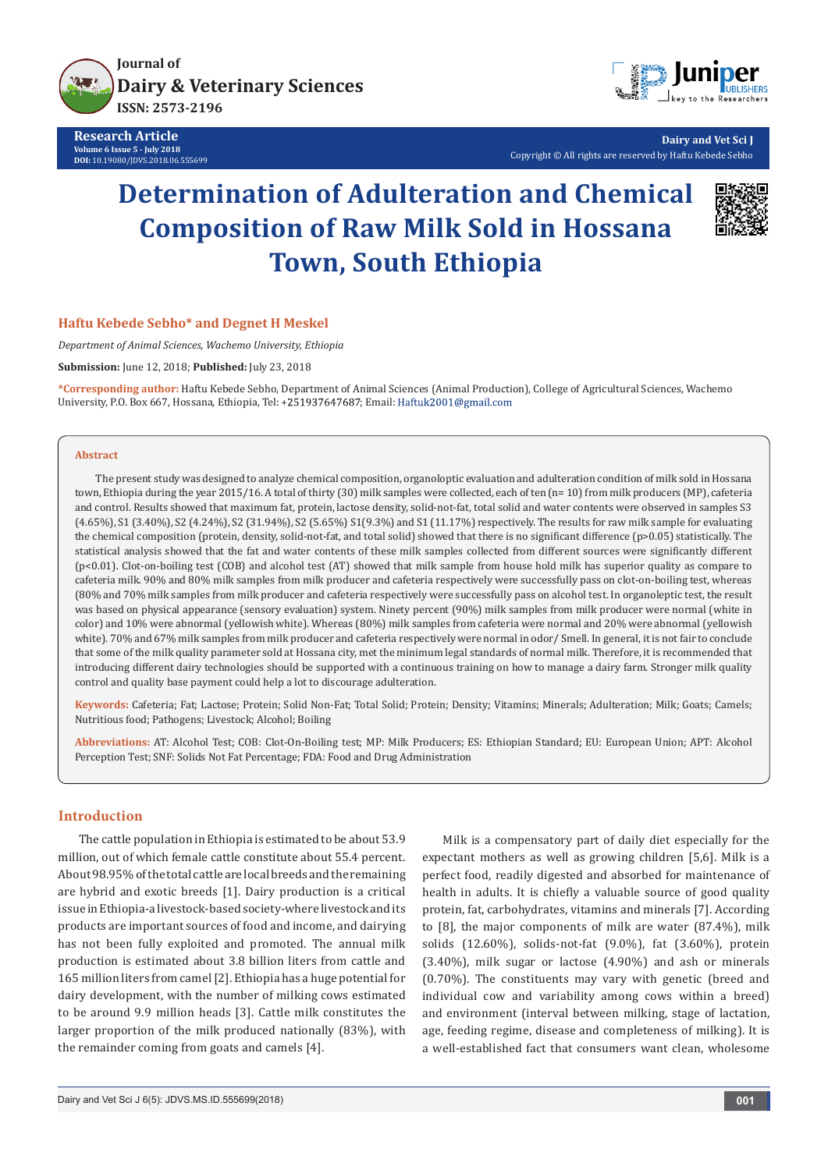

**Research Article Volume 6 Issue 5 - July 2018 DOI:** [10.19080/JDVS.2018.06.555699](http://dx.doi.org/10.19080/JDVS.2018.06.555699)



**Dairy and Vet Sci J** Copyright © All rights are reserved by Haftu Kebede Sebho

# **Determination of Adulteration and Chemical Composition of Raw Milk Sold in Hossana Town, South Ethiopia**



## **Haftu Kebede Sebho\* and Degnet H Meskel**

*Department of Animal Sciences, Wachemo University, Ethiopia*

**Submission:** June 12, 2018; **Published:** July 23, 2018

**\*Corresponding author:** Haftu Kebede Sebho, Department of Animal Sciences (Animal Production), College of Agricultural Sciences, Wachemo University, P.O. Box 667, Hossana, Ethiopia, Tel: +251937647687; Email: Haftuk2001@gmail.com

#### **Abstract**

The present study was designed to analyze chemical composition, organoloptic evaluation and adulteration condition of milk sold in Hossana town, Ethiopia during the year 2015/16. A total of thirty (30) milk samples were collected, each of ten (n= 10) from milk producers (MP), cafeteria and control. Results showed that maximum fat, protein, lactose density, solid-not-fat, total solid and water contents were observed in samples S3 (4.65%), S1 (3.40%), S2 (4.24%), S2 (31.94%), S2 (5.65%) S1(9.3%) and S1 (11.17%) respectively. The results for raw milk sample for evaluating the chemical composition (protein, density, solid-not-fat, and total solid) showed that there is no significant difference (p>0.05) statistically. The statistical analysis showed that the fat and water contents of these milk samples collected from different sources were significantly different (p<0.01). Clot-on-boiling test (COB) and alcohol test (AT) showed that milk sample from house hold milk has superior quality as compare to cafeteria milk. 90% and 80% milk samples from milk producer and cafeteria respectively were successfully pass on clot-on-boiling test, whereas (80% and 70% milk samples from milk producer and cafeteria respectively were successfully pass on alcohol test. In organoleptic test, the result was based on physical appearance (sensory evaluation) system. Ninety percent (90%) milk samples from milk producer were normal (white in color) and 10% were abnormal (yellowish white). Whereas (80%) milk samples from cafeteria were normal and 20% were abnormal (yellowish white). 70% and 67% milk samples from milk producer and cafeteria respectively were normal in odor/ Smell. In general, it is not fair to conclude that some of the milk quality parameter sold at Hossana city, met the minimum legal standards of normal milk. Therefore, it is recommended that introducing different dairy technologies should be supported with a continuous training on how to manage a dairy farm. Stronger milk quality control and quality base payment could help a lot to discourage adulteration.

**Keywords:** Cafeteria; Fat; Lactose; Protein; Solid Non-Fat; Total Solid; Protein; Density; Vitamins; Minerals; Adulteration; Milk; Goats; Camels; Nutritious food; Pathogens; Livestock; Alcohol; Boiling

**Abbreviations:** AT: Alcohol Test; COB: Clot-On-Boiling test; MP: Milk Producers; ES: Ethiopian Standard; EU: European Union; APT: Alcohol Perception Test; SNF: Solids Not Fat Percentage; FDA: Food and Drug Administration

# **Introduction**

The cattle population in Ethiopia is estimated to be about 53.9 million, out of which female cattle constitute about 55.4 percent. About 98.95% of the total cattle are local breeds and the remaining are hybrid and exotic breeds [1]. Dairy production is a critical issue in Ethiopia-a livestock-based society-where livestock and its products are important sources of food and income, and dairying has not been fully exploited and promoted. The annual milk production is estimated about 3.8 billion liters from cattle and 165 million liters from camel [2]. Ethiopia has a huge potential for dairy development, with the number of milking cows estimated to be around 9.9 million heads [3]. Cattle milk constitutes the larger proportion of the milk produced nationally (83%), with the remainder coming from goats and camels [4].

Milk is a compensatory part of daily diet especially for the expectant mothers as well as growing children [5,6]. Milk is a perfect food, readily digested and absorbed for maintenance of health in adults. It is chiefly a valuable source of good quality protein, fat, carbohydrates, vitamins and minerals [7]. According to [8], the major components of milk are water (87.4%), milk solids (12.60%), solids-not-fat (9.0%), fat (3.60%), protein (3.40%), milk sugar or lactose (4.90%) and ash or minerals (0.70%). The constituents may vary with genetic (breed and individual cow and variability among cows within a breed) and environment (interval between milking, stage of lactation, age, feeding regime, disease and completeness of milking). It is a well-established fact that consumers want clean, wholesome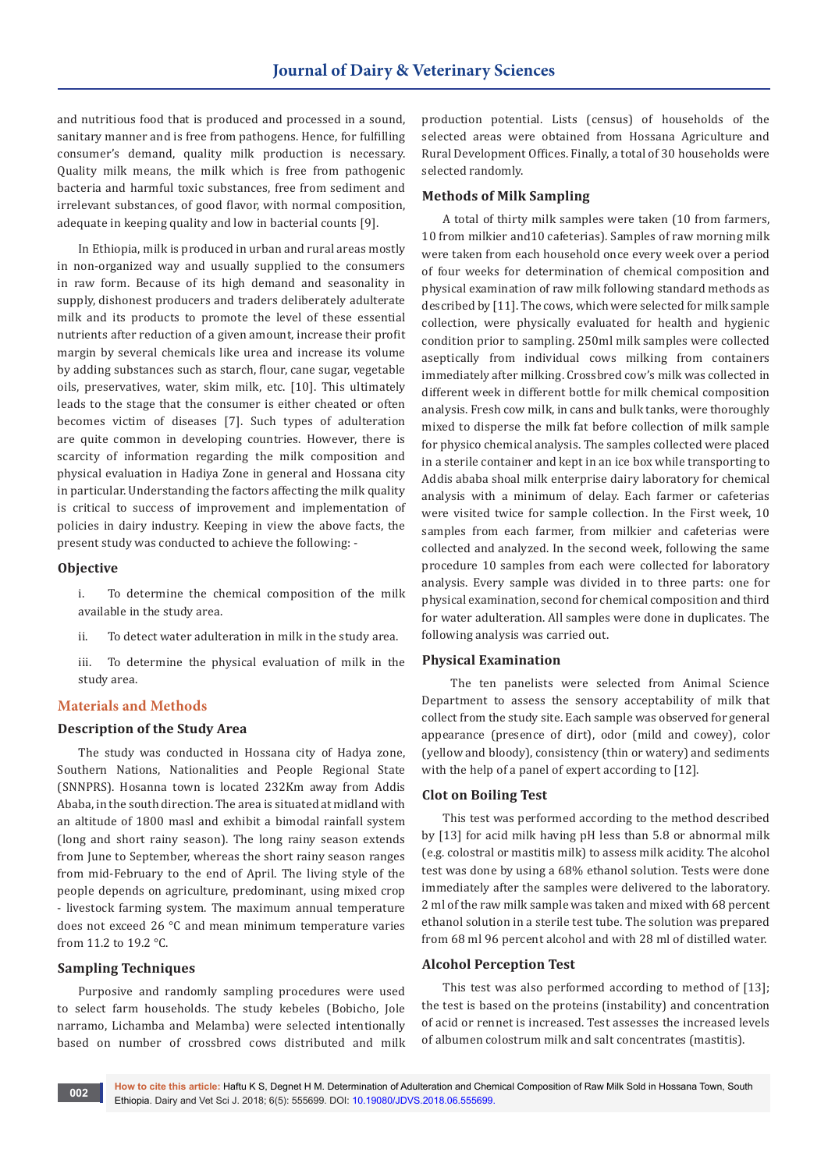and nutritious food that is produced and processed in a sound, sanitary manner and is free from pathogens. Hence, for fulfilling consumer's demand, quality milk production is necessary. Quality milk means, the milk which is free from pathogenic bacteria and harmful toxic substances, free from sediment and irrelevant substances, of good flavor, with normal composition, adequate in keeping quality and low in bacterial counts [9].

In Ethiopia, milk is produced in urban and rural areas mostly in non-organized way and usually supplied to the consumers in raw form. Because of its high demand and seasonality in supply, dishonest producers and traders deliberately adulterate milk and its products to promote the level of these essential nutrients after reduction of a given amount, increase their profit margin by several chemicals like urea and increase its volume by adding substances such as starch, flour, cane sugar, vegetable oils, preservatives, water, skim milk, etc. [10]. This ultimately leads to the stage that the consumer is either cheated or often becomes victim of diseases [7]. Such types of adulteration are quite common in developing countries. However, there is scarcity of information regarding the milk composition and physical evaluation in Hadiya Zone in general and Hossana city in particular. Understanding the factors affecting the milk quality is critical to success of improvement and implementation of policies in dairy industry. Keeping in view the above facts, the present study was conducted to achieve the following: -

#### **Objective**

i. To determine the chemical composition of the milk available in the study area.

ii. To detect water adulteration in milk in the study area.

iii. To determine the physical evaluation of milk in the study area.

# **Materials and Methods**

#### **Description of the Study Area**

The study was conducted in Hossana city of Hadya zone, Southern Nations, Nationalities and People Regional State (SNNPRS). Hosanna town is located 232Km away from Addis Ababa, in the south direction. The area is situated at midland with an altitude of 1800 masl and exhibit a bimodal rainfall system (long and short rainy season). The long rainy season extends from June to September, whereas the short rainy season ranges from mid-February to the end of April. The living style of the people depends on agriculture, predominant, using mixed crop - livestock farming system. The maximum annual temperature does not exceed 26 °C and mean minimum temperature varies from 11.2 to 19.2 °C.

# **Sampling Techniques**

Purposive and randomly sampling procedures were used to select farm households. The study kebeles (Bobicho, Jole narramo, Lichamba and Melamba) were selected intentionally based on number of crossbred cows distributed and milk production potential. Lists (census) of households of the selected areas were obtained from Hossana Agriculture and Rural Development Offices. Finally, a total of 30 households were selected randomly.

#### **Methods of Milk Sampling**

A total of thirty milk samples were taken (10 from farmers, 10 from milkier and10 cafeterias). Samples of raw morning milk were taken from each household once every week over a period of four weeks for determination of chemical composition and physical examination of raw milk following standard methods as described by [11]. The cows, which were selected for milk sample collection, were physically evaluated for health and hygienic condition prior to sampling. 250ml milk samples were collected aseptically from individual cows milking from containers immediately after milking. Crossbred cow's milk was collected in different week in different bottle for milk chemical composition analysis. Fresh cow milk, in cans and bulk tanks, were thoroughly mixed to disperse the milk fat before collection of milk sample for physico chemical analysis. The samples collected were placed in a sterile container and kept in an ice box while transporting to Addis ababa shoal milk enterprise dairy laboratory for chemical analysis with a minimum of delay. Each farmer or cafeterias were visited twice for sample collection. In the First week, 10 samples from each farmer, from milkier and cafeterias were collected and analyzed. In the second week, following the same procedure 10 samples from each were collected for laboratory analysis. Every sample was divided in to three parts: one for physical examination, second for chemical composition and third for water adulteration. All samples were done in duplicates. The following analysis was carried out.

#### **Physical Examination**

 The ten panelists were selected from Animal Science Department to assess the sensory acceptability of milk that collect from the study site. Each sample was observed for general appearance (presence of dirt), odor (mild and cowey), color (yellow and bloody), consistency (thin or watery) and sediments with the help of a panel of expert according to [12].

#### **Clot on Boiling Test**

This test was performed according to the method described by [13] for acid milk having pH less than 5.8 or abnormal milk (e.g. colostral or mastitis milk) to assess milk acidity. The alcohol test was done by using a 68% ethanol solution. Tests were done immediately after the samples were delivered to the laboratory. 2 ml of the raw milk sample was taken and mixed with 68 percent ethanol solution in a sterile test tube. The solution was prepared from 68 ml 96 percent alcohol and with 28 ml of distilled water.

#### **Alcohol Perception Test**

This test was also performed according to method of [13]; the test is based on the proteins (instability) and concentration of acid or rennet is increased. Test assesses the increased levels of albumen colostrum milk and salt concentrates (mastitis).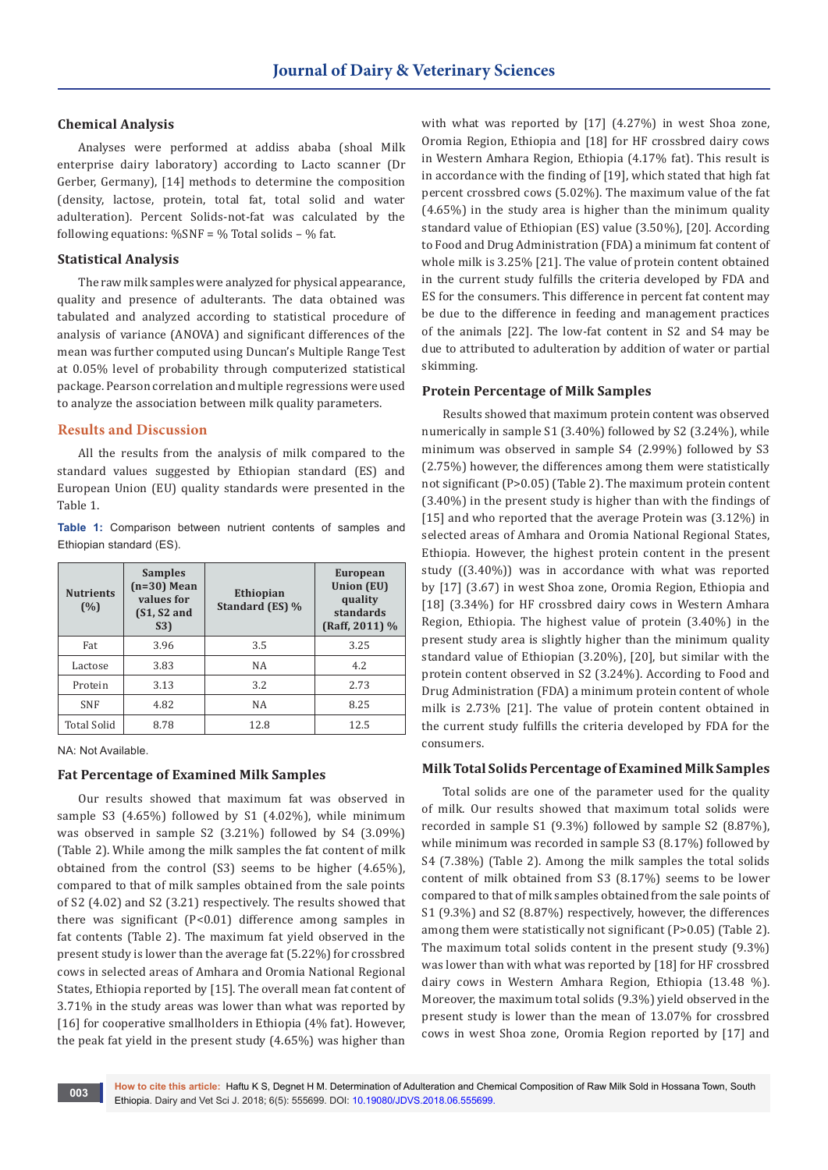# **Chemical Analysis**

Analyses were performed at addiss ababa (shoal Milk enterprise dairy laboratory) according to Lacto scanner (Dr Gerber, Germany), [14] methods to determine the composition (density, lactose, protein, total fat, total solid and water adulteration). Percent Solids-not-fat was calculated by the following equations:  $\%$ SNF =  $\%$  Total solids -  $\%$  fat.

#### **Statistical Analysis**

The raw milk samples were analyzed for physical appearance, quality and presence of adulterants. The data obtained was tabulated and analyzed according to statistical procedure of analysis of variance (ANOVA) and significant differences of the mean was further computed using Duncan's Multiple Range Test at 0.05% level of probability through computerized statistical package. Pearson correlation and multiple regressions were used to analyze the association between milk quality parameters.

#### **Results and Discussion**

All the results from the analysis of milk compared to the standard values suggested by Ethiopian standard (ES) and European Union (EU) quality standards were presented in the Table 1.

**Table 1:** Comparison between nutrient contents of samples and Ethiopian standard (ES).

| <b>Nutrients</b><br>(%) | <b>Samples</b><br>$(n=30)$ Mean<br>values for<br>$(S1, S2$ and<br>S3) | <b>Ethiopian</b><br>Standard (ES) % | <b>European</b><br><b>Union (EU)</b><br>quality<br>standards<br>$(Raff, 2011)$ % |  |
|-------------------------|-----------------------------------------------------------------------|-------------------------------------|----------------------------------------------------------------------------------|--|
| Fat                     | 3.96                                                                  | 3.5                                 | 3.25                                                                             |  |
| Lactose                 | 3.83                                                                  | <b>NA</b>                           | 4.2                                                                              |  |
| Protein                 | 3.13                                                                  | 3.2                                 | 2.73                                                                             |  |
| <b>SNF</b>              | 4.82                                                                  | NA                                  | 8.25                                                                             |  |
| <b>Total Solid</b>      | 8.78                                                                  | 12.8                                | 12.5                                                                             |  |

NA: Not Available.

# **Fat Percentage of Examined Milk Samples**

Our results showed that maximum fat was observed in sample S3 (4.65%) followed by S1 (4.02%), while minimum was observed in sample S2 (3.21%) followed by S4 (3.09%) (Table 2). While among the milk samples the fat content of milk obtained from the control (S3) seems to be higher (4.65%), compared to that of milk samples obtained from the sale points of S2 (4.02) and S2 (3.21) respectively. The results showed that there was significant (P<0.01) difference among samples in fat contents (Table 2). The maximum fat yield observed in the present study is lower than the average fat (5.22%) for crossbred cows in selected areas of Amhara and Oromia National Regional States, Ethiopia reported by [15]. The overall mean fat content of 3.71% in the study areas was lower than what was reported by [16] for cooperative smallholders in Ethiopia (4% fat). However, the peak fat yield in the present study (4.65%) was higher than

with what was reported by [17] (4.27%) in west Shoa zone, Oromia Region, Ethiopia and [18] for HF crossbred dairy cows in Western Amhara Region, Ethiopia (4.17% fat). This result is in accordance with the finding of [19], which stated that high fat percent crossbred cows (5.02%). The maximum value of the fat (4.65%) in the study area is higher than the minimum quality standard value of Ethiopian (ES) value (3.50%), [20]. According to Food and Drug Administration (FDA) a minimum fat content of whole milk is 3.25% [21]. The value of protein content obtained in the current study fulfills the criteria developed by FDA and ES for the consumers. This difference in percent fat content may be due to the difference in feeding and management practices of the animals [22]. The low-fat content in S2 and S4 may be due to attributed to adulteration by addition of water or partial skimming.

## **Protein Percentage of Milk Samples**

Results showed that maximum protein content was observed numerically in sample S1 (3.40%) followed by S2 (3.24%), while minimum was observed in sample S4 (2.99%) followed by S3 (2.75%) however, the differences among them were statistically not significant (P>0.05) (Table 2). The maximum protein content (3.40%) in the present study is higher than with the findings of [15] and who reported that the average Protein was (3.12%) in selected areas of Amhara and Oromia National Regional States, Ethiopia. However, the highest protein content in the present study ((3.40%)) was in accordance with what was reported by [17] (3.67) in west Shoa zone, Oromia Region, Ethiopia and [18] (3.34%) for HF crossbred dairy cows in Western Amhara Region, Ethiopia. The highest value of protein (3.40%) in the present study area is slightly higher than the minimum quality standard value of Ethiopian (3.20%), [20], but similar with the protein content observed in S2 (3.24%). According to Food and Drug Administration (FDA) a minimum protein content of whole milk is 2.73% [21]. The value of protein content obtained in the current study fulfills the criteria developed by FDA for the consumers.

#### **Milk Total Solids Percentage of Examined Milk Samples**

Total solids are one of the parameter used for the quality of milk. Our results showed that maximum total solids were recorded in sample S1 (9.3%) followed by sample S2 (8.87%), while minimum was recorded in sample S3 (8.17%) followed by S4 (7.38%) (Table 2). Among the milk samples the total solids content of milk obtained from S3 (8.17%) seems to be lower compared to that of milk samples obtained from the sale points of S1 (9.3%) and S2 (8.87%) respectively, however, the differences among them were statistically not significant (P>0.05) (Table 2). The maximum total solids content in the present study (9.3%) was lower than with what was reported by [18] for HF crossbred dairy cows in Western Amhara Region, Ethiopia (13.48 %). Moreover, the maximum total solids (9.3%) yield observed in the present study is lower than the mean of 13.07% for crossbred cows in west Shoa zone, Oromia Region reported by [17] and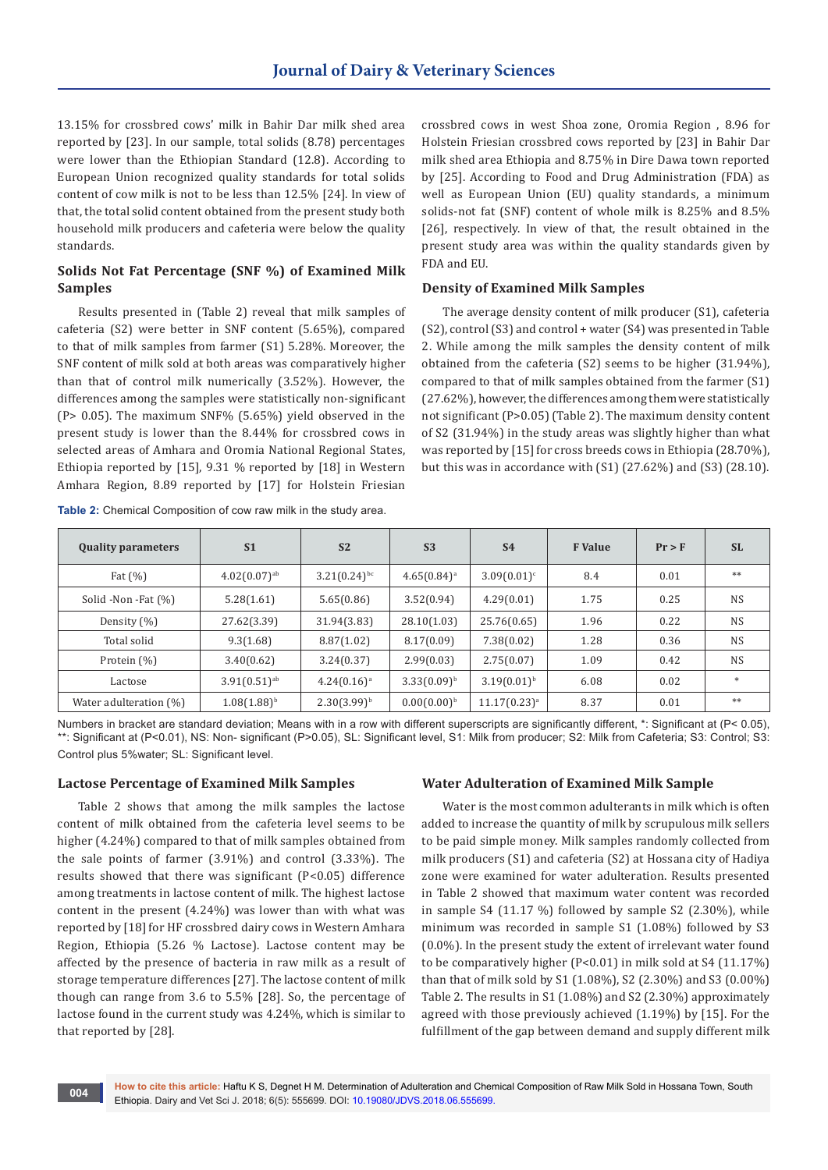13.15% for crossbred cows' milk in Bahir Dar milk shed area reported by [23]. In our sample, total solids (8.78) percentages were lower than the Ethiopian Standard (12.8). According to European Union recognized quality standards for total solids content of cow milk is not to be less than 12.5% [24]. In view of that, the total solid content obtained from the present study both household milk producers and cafeteria were below the quality standards.

# **Solids Not Fat Percentage (SNF %) of Examined Milk Samples**

Results presented in (Table 2) reveal that milk samples of cafeteria (S2) were better in SNF content (5.65%), compared to that of milk samples from farmer (S1) 5.28%. Moreover, the SNF content of milk sold at both areas was comparatively higher than that of control milk numerically (3.52%). However, the differences among the samples were statistically non-significant (P> 0.05). The maximum SNF% (5.65%) yield observed in the present study is lower than the 8.44% for crossbred cows in selected areas of Amhara and Oromia National Regional States, Ethiopia reported by [15], 9.31 % reported by [18] in Western Amhara Region, 8.89 reported by [17] for Holstein Friesian

**Table 2:** Chemical Composition of cow raw milk in the study area.

crossbred cows in west Shoa zone, Oromia Region , 8.96 for Holstein Friesian crossbred cows reported by [23] in Bahir Dar milk shed area Ethiopia and 8.75% in Dire Dawa town reported by [25]. According to Food and Drug Administration (FDA) as well as European Union (EU) quality standards, a minimum solids-not fat (SNF) content of whole milk is 8.25% and 8.5% [26], respectively. In view of that, the result obtained in the present study area was within the quality standards given by FDA and EU.

## **Density of Examined Milk Samples**

The average density content of milk producer (S1), cafeteria (S2), control (S3) and control + water (S4) was presented in Table 2. While among the milk samples the density content of milk obtained from the cafeteria (S2) seems to be higher (31.94%), compared to that of milk samples obtained from the farmer (S1) (27.62%), however, the differences among them were statistically not significant (P>0.05) (Table 2). The maximum density content of S2 (31.94%) in the study areas was slightly higher than what was reported by [15] for cross breeds cows in Ethiopia (28.70%), but this was in accordance with (S1) (27.62%) and (S3) (28.10).

| <b>Quality parameters</b> | S <sub>1</sub>             | S <sub>2</sub>    | S <sub>3</sub>   | S <sub>4</sub>   | <b>F</b> Value | Pr > F | <b>SL</b> |
|---------------------------|----------------------------|-------------------|------------------|------------------|----------------|--------|-----------|
| Fat $(\% )$               | $4.02(0.07)$ <sup>ab</sup> | $3.21(0.24)^{bc}$ | $4.65(0.84)^a$   | $3.09(0.01)^c$   | 8.4            | 0.01   | $**$      |
| Solid -Non -Fat (%)       | 5.28(1.61)                 | 5.65(0.86)        | 3.52(0.94)       | 4.29(0.01)       | 1.75           | 0.25   | <b>NS</b> |
| Density (%)               | 27.62(3.39)                | 31.94(3.83)       | 28.10(1.03)      | 25.76(0.65)      | 1.96           | 0.22   | <b>NS</b> |
| Total solid               | 9.3(1.68)                  | 8.87(1.02)        | 8.17(0.09)       | 7.38(0.02)       | 1.28           | 0.36   | <b>NS</b> |
| Protein (%)               | 3.40(0.62)                 | 3.24(0.37)        | 2.99(0.03)       | 2.75(0.07)       | 1.09           | 0.42   | <b>NS</b> |
| Lactose                   | $3.91(0.51)$ <sup>ab</sup> | $4.24(0.16)^a$    | $3.33(0.09)^{b}$ | $3.19(0.01)^{b}$ | 6.08           | 0.02   | $\ast$    |
| Water adulteration (%)    | $1.08(1.88)^{b}$           | $2.30(3.99)^{b}$  | $0.00(0.00)^{b}$ | $11.17(0.23)^a$  | 8.37           | 0.01   | $**$      |

Numbers in bracket are standard deviation; Means with in a row with different superscripts are significantly different, \*: Significant at (P< 0.05), \*\*: Significant at (P<0.01), NS: Non- significant (P>0.05), SL: Significant level, S1: Milk from producer; S2: Milk from Cafeteria; S3: Control; S3: Control plus 5%water; SL: Significant level.

## **Lactose Percentage of Examined Milk Samples**

Table 2 shows that among the milk samples the lactose content of milk obtained from the cafeteria level seems to be higher (4.24%) compared to that of milk samples obtained from the sale points of farmer (3.91%) and control (3.33%). The results showed that there was significant (P<0.05) difference among treatments in lactose content of milk. The highest lactose content in the present (4.24%) was lower than with what was reported by [18] for HF crossbred dairy cows in Western Amhara Region, Ethiopia (5.26 % Lactose). Lactose content may be affected by the presence of bacteria in raw milk as a result of storage temperature differences [27]. The lactose content of milk though can range from 3.6 to 5.5% [28]. So, the percentage of lactose found in the current study was 4.24%, which is similar to that reported by [28].

# **Water Adulteration of Examined Milk Sample**

Water is the most common adulterants in milk which is often added to increase the quantity of milk by scrupulous milk sellers to be paid simple money. Milk samples randomly collected from milk producers (S1) and cafeteria (S2) at Hossana city of Hadiya zone were examined for water adulteration. Results presented in Table 2 showed that maximum water content was recorded in sample S4 (11.17 %) followed by sample S2 (2.30%), while minimum was recorded in sample S1 (1.08%) followed by S3 (0.0%). In the present study the extent of irrelevant water found to be comparatively higher (P<0.01) in milk sold at S4 (11.17%) than that of milk sold by S1 (1.08%), S2 (2.30%) and S3 (0.00%) Table 2. The results in S1 (1.08%) and S2 (2.30%) approximately agreed with those previously achieved (1.19%) by [15]. For the fulfillment of the gap between demand and supply different milk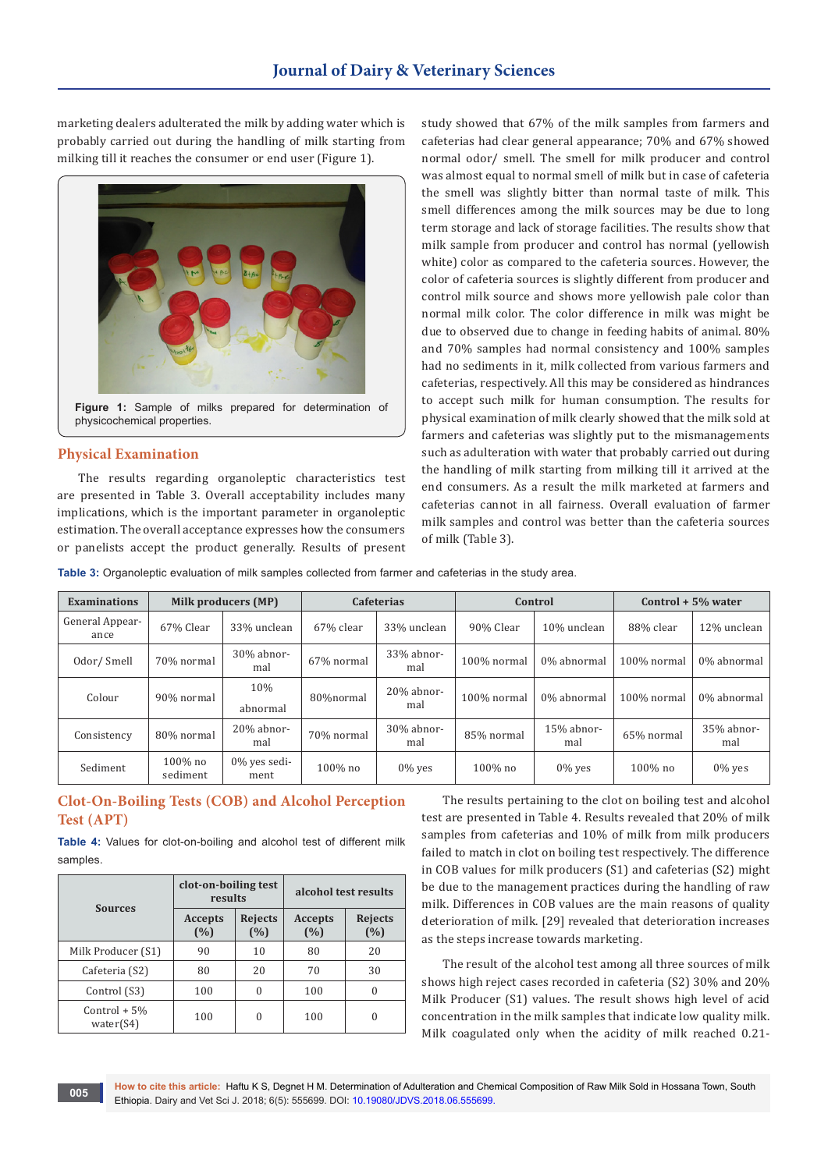marketing dealers adulterated the milk by adding water which is probably carried out during the handling of milk starting from milking till it reaches the consumer or end user (Figure 1).



# physicochemical properties.

# **Physical Examination**

The results regarding organoleptic characteristics test are presented in Table 3. Overall acceptability includes many implications, which is the important parameter in organoleptic estimation. The overall acceptance expresses how the consumers or panelists accept the product generally. Results of present study showed that 67% of the milk samples from farmers and cafeterias had clear general appearance; 70% and 67% showed normal odor/ smell. The smell for milk producer and control was almost equal to normal smell of milk but in case of cafeteria the smell was slightly bitter than normal taste of milk. This smell differences among the milk sources may be due to long term storage and lack of storage facilities. The results show that milk sample from producer and control has normal (yellowish white) color as compared to the cafeteria sources. However, the color of cafeteria sources is slightly different from producer and control milk source and shows more yellowish pale color than normal milk color. The color difference in milk was might be due to observed due to change in feeding habits of animal. 80% and 70% samples had normal consistency and 100% samples had no sediments in it, milk collected from various farmers and cafeterias, respectively. All this may be considered as hindrances to accept such milk for human consumption. The results for physical examination of milk clearly showed that the milk sold at farmers and cafeterias was slightly put to the mismanagements such as adulteration with water that probably carried out during the handling of milk starting from milking till it arrived at the end consumers. As a result the milk marketed at farmers and cafeterias cannot in all fairness. Overall evaluation of farmer milk samples and control was better than the cafeteria sources of milk (Table 3).

**Table 3:** Organoleptic evaluation of milk samples collected from farmer and cafeterias in the study area.

| <b>Examinations</b>     | Milk producers (MP)    |                         | <b>Cafeterias</b> |                      | Control     |                   | Control $+5\%$ water |                   |
|-------------------------|------------------------|-------------------------|-------------------|----------------------|-------------|-------------------|----------------------|-------------------|
| General Appear-<br>ance | 67% Clear              | 33% unclean             | 67% clear         | 33% unclean          | 90% Clear   | 10% unclean       | 88% clear            | 12% unclean       |
| Odor/Smell              | 70% normal             | 30% abnor-<br>mal       | 67% normal        | 33% abnor-<br>mal    | 100% normal | 0% abnormal       | 100% normal          | 0% abnormal       |
| Colour                  | 90% normal             | 10%<br>abnormal         | 80%normal         | $20\%$ abnor-<br>mal | 100% normal | 0% abnormal       | 100% normal          | 0% abnormal       |
| Consistency             | 80% normal             | 20% abnor-<br>mal       | 70% normal        | 30% abnor-<br>mal    | 85% normal  | 15% abnor-<br>mal | 65% normal           | 35% abnor-<br>mal |
| Sediment                | $100\%$ no<br>sediment | $0\%$ yes sedi-<br>ment | $100\%$ no        | $0\%$ yes            | $100\%$ no  | $0\%$ yes         | $100\%$ no           | $0\%$ yes         |

# **Clot-On-Boiling Tests (COB) and Alcohol Perception Test (APT)**

**Table 4:** Values for clot-on-boiling and alcohol test of different milk samples.

| <b>Sources</b>              | clot-on-boiling test<br>results |                       | alcohol test results  |                       |  |
|-----------------------------|---------------------------------|-----------------------|-----------------------|-----------------------|--|
|                             | <b>Accepts</b><br>(%)           | <b>Rejects</b><br>(%) | <b>Accepts</b><br>(%) | <b>Rejects</b><br>(%) |  |
| Milk Producer (S1)          | 90                              | 10                    | 80                    | 20                    |  |
| Cafeteria (S2)              | 80                              | 20                    | 70                    | 30                    |  |
| Control (S3)                | 100                             | 0                     | 100                   | 0                     |  |
| $Control + 5%$<br>water(S4) | 100                             | 0                     | 100                   | 0                     |  |

The results pertaining to the clot on boiling test and alcohol test are presented in Table 4. Results revealed that 20% of milk samples from cafeterias and 10% of milk from milk producers failed to match in clot on boiling test respectively. The difference in COB values for milk producers (S1) and cafeterias (S2) might be due to the management practices during the handling of raw milk. Differences in COB values are the main reasons of quality deterioration of milk. [29] revealed that deterioration increases as the steps increase towards marketing.

The result of the alcohol test among all three sources of milk shows high reject cases recorded in cafeteria (S2) 30% and 20% Milk Producer (S1) values. The result shows high level of acid concentration in the milk samples that indicate low quality milk. Milk coagulated only when the acidity of milk reached 0.21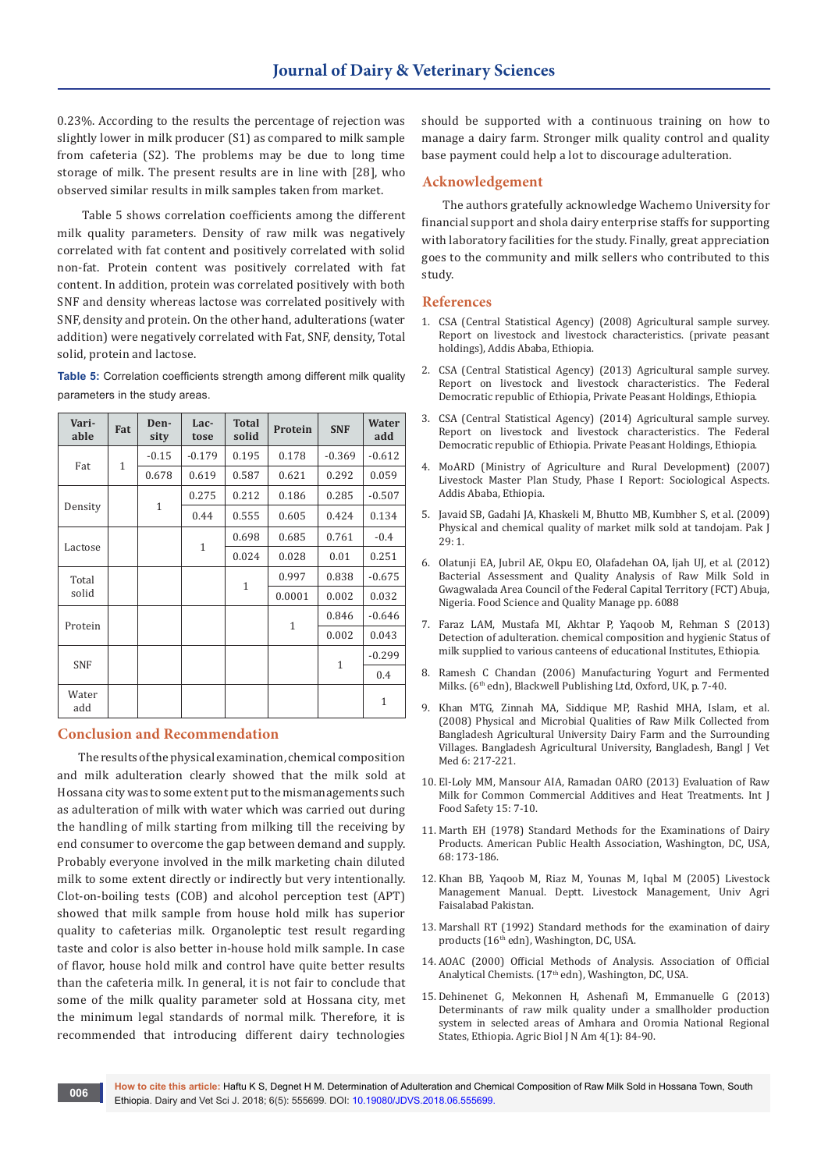0.23%. According to the results the percentage of rejection was slightly lower in milk producer (S1) as compared to milk sample from cafeteria (S2). The problems may be due to long time storage of milk. The present results are in line with [28], who observed similar results in milk samples taken from market.

 Table 5 shows correlation coefficients among the different milk quality parameters. Density of raw milk was negatively correlated with fat content and positively correlated with solid non-fat. Protein content was positively correlated with fat content. In addition, protein was correlated positively with both SNF and density whereas lactose was correlated positively with SNF, density and protein. On the other hand, adulterations (water addition) were negatively correlated with Fat, SNF, density, Total solid, protein and lactose.

**Table 5:** Correlation coefficients strength among different milk quality parameters in the study areas.

| Vari-<br>able | Fat          | Den-<br>sity | Lac-<br>tose | <b>Total</b><br>solid | Protein      | <b>SNF</b> | Water<br>add |
|---------------|--------------|--------------|--------------|-----------------------|--------------|------------|--------------|
| Fat           | $\mathbf{1}$ | $-0.15$      | $-0.179$     | 0.195                 | 0.178        | $-0.369$   | $-0.612$     |
|               |              | 0.678        | 0.619        | 0.587                 | 0.621        | 0.292      | 0.059        |
| Density       |              | $\mathbf{1}$ | 0.275        | 0.212                 | 0.186        | 0.285      | $-0.507$     |
|               |              |              | 0.44         | 0.555                 | 0.605        | 0.424      | 0.134        |
|               |              |              | $\mathbf{1}$ | 0.698                 | 0.685        | 0.761      | $-0.4$       |
| Lactose       |              |              |              | 0.024                 | 0.028        | 0.01       | 0.251        |
| Total         |              |              |              |                       | 0.997        | 0.838      | $-0.675$     |
| solid         |              |              |              | $\mathbf{1}$          | 0.0001       | 0.002      | 0.032        |
| Protein       |              |              |              |                       | $\mathbf{1}$ | 0.846      | $-0.646$     |
|               |              |              |              |                       |              | 0.002      | 0.043        |
| <b>SNF</b>    |              |              |              |                       |              | 1          | $-0.299$     |
|               |              |              |              |                       |              |            | 0.4          |
| Water<br>add  |              |              |              |                       |              |            | $\mathbf{1}$ |

# **Conclusion and Recommendation**

The results of the physical examination, chemical composition and milk adulteration clearly showed that the milk sold at Hossana city was to some extent put to the mismanagements such as adulteration of milk with water which was carried out during the handling of milk starting from milking till the receiving by end consumer to overcome the gap between demand and supply. Probably everyone involved in the milk marketing chain diluted milk to some extent directly or indirectly but very intentionally. Clot-on-boiling tests (COB) and alcohol perception test (APT) showed that milk sample from house hold milk has superior quality to cafeterias milk. Organoleptic test result regarding taste and color is also better in-house hold milk sample. In case of flavor, house hold milk and control have quite better results than the cafeteria milk. In general, it is not fair to conclude that some of the milk quality parameter sold at Hossana city, met the minimum legal standards of normal milk. Therefore, it is recommended that introducing different dairy technologies

should be supported with a continuous training on how to manage a dairy farm. Stronger milk quality control and quality base payment could help a lot to discourage adulteration.

#### **Acknowledgement**

The authors gratefully acknowledge Wachemo University for financial support and shola dairy enterprise staffs for supporting with laboratory facilities for the study. Finally, great appreciation goes to the community and milk sellers who contributed to this study.

#### **References**

- 1. CSA (Central Statistical Agency) (2008) Agricultural sample survey. Report on livestock and livestock characteristics. (private peasant holdings), Addis Ababa, Ethiopia.
- 2. CSA (Central Statistical Agency) (2013) Agricultural sample survey. Report on livestock and livestock characteristics. The Federal Democratic republic of Ethiopia, Private Peasant Holdings, Ethiopia.
- 3. CSA (Central Statistical Agency) (2014) Agricultural sample survey. Report on livestock and livestock characteristics. The Federal Democratic republic of Ethiopia. Private Peasant Holdings, Ethiopia.
- 4. MoARD (Ministry of Agriculture and Rural Development) (2007) Livestock Master Plan Study, Phase I Report: Sociological Aspects. Addis Ababa, Ethiopia.
- 5. Javaid SB, Gadahi JA, Khaskeli M, Bhutto MB, Kumbher S, et al. (2009) Physical and chemical quality of market milk sold at tandojam. Pak J 29: 1.
- 6. Olatunji EA, Jubril AE, Okpu EO, Olafadehan OA, Ijah UJ, et al. (2012) Bacterial Assessment and Quality Analysis of Raw Milk Sold in Gwagwalada Area Council of the Federal Capital Territory (FCT) Abuja, Nigeria. Food Science and Quality Manage pp. 6088
- 7. Faraz LAM, Mustafa MI, Akhtar P, Yaqoob M, Rehman S (2013) Detection of adulteration. chemical composition and hygienic Status of milk supplied to various canteens of educational Institutes, Ethiopia.
- 8. Ramesh C Chandan (2006) Manufacturing Yogurt and Fermented Milks. (6th edn), Blackwell Publishing Ltd, Oxford, UK, p. 7-40.
- 9. Khan MTG, Zinnah MA, Siddique MP, Rashid MHA, Islam, et al. (2008) Physical and Microbial Qualities of Raw Milk Collected from Bangladesh Agricultural University Dairy Farm and the Surrounding Villages. Bangladesh Agricultural University, Bangladesh, Bangl J Vet Med 6: 217-221.
- 10. [El-Loly MM, Mansour AIA, Ramadan OARO \(2013\) Evaluation of Raw](http://www.internetjfs.org/articles/Evaluation%20of%20raw%20milk%20for%20common%20commercial%20additives%20and%20heat%20treatments.pdf)  [Milk for Common Commercial Additives and Heat Treatments. Int J](http://www.internetjfs.org/articles/Evaluation%20of%20raw%20milk%20for%20common%20commercial%20additives%20and%20heat%20treatments.pdf)  [Food Safety 15: 7-10.](http://www.internetjfs.org/articles/Evaluation%20of%20raw%20milk%20for%20common%20commercial%20additives%20and%20heat%20treatments.pdf)
- 11. Marth EH (1978) Standard Methods for the Examinations of Dairy Products. American Public Health Association, Washington, DC, USA, 68: 173-186.
- 12. Khan BB, Yaqoob M, Riaz M, Younas M, Iqbal M (2005) Livestock Management Manual. Deptt. Livestock Management, Univ Agri Faisalabad Pakistan.
- 13. Marshall RT (1992) Standard methods for the examination of dairy products (16<sup>th</sup> edn), Washington, DC, USA.
- 14. AOAC (2000) Official Methods of Analysis. Association of Official Analytical Chemists. (17<sup>th</sup> edn), Washington, DC, USA.
- 15. Dehinenet G, Mekonnen H, Ashenafi M, Emmanuelle G (2013) Determinants of raw milk quality under a smallholder production system in selected areas of Amhara and Oromia National Regional States, Ethiopia. Agric Biol J N Am 4(1): 84-90.